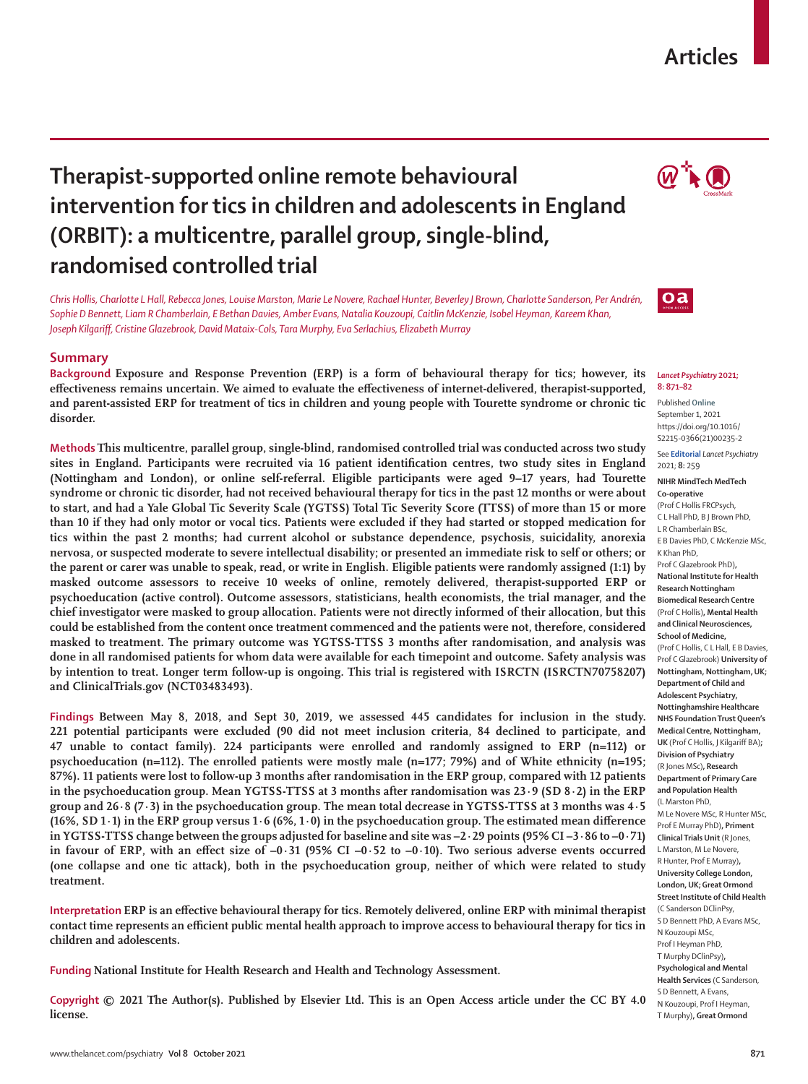## **Articles**

# **Therapist-supported online remote behavioural intervention for tics in children and adolescents in England (ORBIT): a multicentre, parallel group, single-blind, randomised controlled trial**

*Chris Hollis, Charlotte L Hall, Rebecca Jones, Louise Marston, Marie Le Novere, Rachael Hunter, Beverley J Brown, Charlotte Sanderson, Per Andrén, Sophie D Bennett, Liam R Chamberlain, E Bethan Davies, Amber Evans, Natalia Kouzoupi, Caitlin McKenzie, Isobel Heyman, Kareem Khan, Joseph Kilgariff, Cristine Glazebrook, David Mataix-Cols, Tara Murphy, Eva Serlachius, Elizabeth Murray*

### **Summary**

**Background Exposure and Response Prevention (ERP) is a form of behavioural therapy for tics; however, its effectiveness remains uncertain. We aimed to evaluate the effectiveness of internet-delivered, therapist-supported, and parent-assisted ERP for treatment of tics in children and young people with Tourette syndrome or chronic tic disorder.**

**Methods This multicentre, parallel group, single-blind, randomised controlled trial was conducted across two study sites in England. Participants were recruited via 16 patient identification centres, two study sites in England (Nottingham and London), or online self-referral. Eligible participants were aged 9–17 years, had Tourette syndrome or chronic tic disorder, had not received behavioural therapy for tics in the past 12 months or were about to start, and had a Yale Global Tic Severity Scale (YGTSS) Total Tic Severity Score (TTSS) of more than 15 or more than 10 if they had only motor or vocal tics. Patients were excluded if they had started or stopped medication for tics within the past 2 months; had current alcohol or substance dependence, psychosis, suicidality, anorexia nervosa, or suspected moderate to severe intellectual disability; or presented an immediate risk to self or others; or the parent or carer was unable to speak, read, or write in English. Eligible patients were randomly assigned (1:1) by masked outcome assessors to receive 10 weeks of online, remotely delivered, therapist-supported ERP or psychoeducation (active control). Outcome assessors, statisticians, health economists, the trial manager, and the chief investigator were masked to group allocation. Patients were not directly informed of their allocation, but this could be established from the content once treatment commenced and the patients were not, therefore, considered masked to treatment. The primary outcome was YGTSS-TTSS 3 months after randomisation, and analysis was done in all randomised patients for whom data were available for each timepoint and outcome. Safety analysis was by intention to treat. Longer term follow-up is ongoing. This trial is registered with ISRCTN (ISRCTN70758207) and ClinicalTrials.gov (NCT03483493).**

**Findings Between May 8, 2018, and Sept 30, 2019, we assessed 445 candidates for inclusion in the study. 221 potential participants were excluded (90 did not meet inclusion criteria, 84 declined to participate, and 47 unable to contact family). 224 participants were enrolled and randomly assigned to ERP (n=112) or psychoeducation (n=112). The enrolled patients were mostly male (n=177; 79%) and of White ethnicity (n=195; 87%). 11 patients were lost to follow-up 3 months after randomisation in the ERP group, compared with 12 patients in the psychoeducation group. Mean YGTSS-TTSS at 3 months after randomisation was 23·9 (SD 8·2) in the ERP group and 26·8 (7·3) in the psychoeducation group. The mean total decrease in YGTSS-TTSS at 3 months was 4·5 (16%, SD 1·1) in the ERP group versus 1·6 (6%, 1·0) in the psychoeducation group. The estimated mean difference in YGTSS-TTSS change between the groups adjusted for baseline and site was –2·29 points (95% CI –3·86 to –0·71) in favour of ERP, with an effect size of –0·31 (95% CI –0·52 to –0·10). Two serious adverse events occurred (one collapse and one tic attack), both in the psychoeducation group, neither of which were related to study treatment.**

**Interpretation ERP is an effective behavioural therapy for tics. Remotely delivered, online ERP with minimal therapist contact time represents an efficient public mental health approach to improve access to behavioural therapy for tics in children and adolescents.**

**Funding National Institute for Health Research and Health and Technology Assessment.**

**Copyright © 2021 The Author(s). Published by Elsevier Ltd. This is an Open Access article under the CC BY 4.0 license.** 





#### *Lancet Psychiatry* **2021; 8: 871–82**

Published **Online** September 1, 2021 https://doi.org/10.1016/ S2215-0366(21)00235-2

#### See **Editorial** *Lancet Psychiatry* 2021; **8:** 259

**NIHR MindTech MedTech Co-operative**

(Prof C Hollis FRCPsych, C L Hall PhD, B J Brown PhD, L R Chamberlain BSc, E B Davies PhD, C McKenzie MSc, K Khan PhD, Prof C Glazebrook PhD)**, National Institute for Health Research Nottingham Biomedical Research Centre** (Prof C Hollis)**, Mental Health and Clinical Neurosciences, School of Medicine,**  (Prof C Hollis, C L Hall, E B Davies, Prof C Glazebrook) **University of Nottingham, Nottingham, UK; Department of Child and Adolescent Psychiatry, Nottinghamshire Healthcare NHS Foundation Trust Queen's Medical Centre, Nottingham, UK** (Prof C Hollis, J Kilgariff BA)**; Division of Psychiatry** (R Jones MSc)**, Research Department of Primary Care and Population Health** (L Marston PhD, M Le Novere MSc, R Hunter MSc, Prof E Murray PhD)**, Priment Clinical Trials Unit** (R Jones, L Marston, M Le Novere, R Hunter, Prof E Murray)**, University College London, London, UK; Great Ormond Street Institute of Child Health**  (C Sanderson DClinPsy, S D Bennett PhD, A Evans MSc, N Kouzoupi MSc, Prof I Heyman PhD, T Murphy DClinPsy)**, Psychological and Mental** 

**Health Services** (C Sanderson, S D Bennett, A Evans, N Kouzoupi, Prof I Heyman, T Murphy)**, Great Ormond**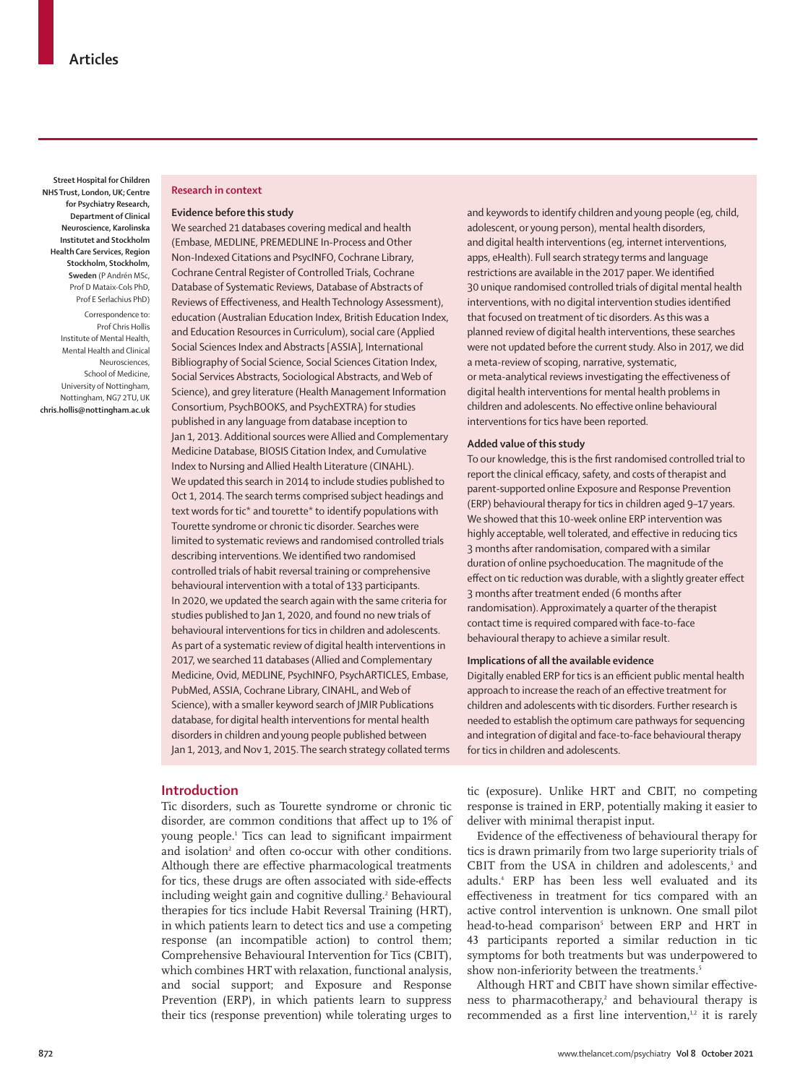**Street Hospital for Children NHS Trust, London, UK; Centre for Psychiatry Research, Department of Clinical Neuroscience, Karolinska Institutet and Stockholm Health Care Services, Region Stockholm, Stockholm, Sweden** (P Andrén MSc, Prof D Mataix-Cols PhD, Prof E Serlachius PhD)

Correspondence to: Prof Chris Hollis Institute of Mental Health, Mental Health and Clinical Neurosciences, School of Medicine, University of Nottingham, Nottingham, NG7 2TU, UK **chris.hollis@nottingham.ac.uk**

#### **Research in context**

#### **Evidence before this study**

We searched 21 databases covering medical and health (Embase, MEDLINE, PREMEDLINE In-Process and Other Non-Indexed Citations and PsycINFO, Cochrane Library, Cochrane Central Register of Controlled Trials, Cochrane Database of Systematic Reviews, Database of Abstracts of Reviews of Effectiveness, and Health Technology Assessment), education (Australian Education Index, British Education Index, and Education Resources in Curriculum), social care (Applied Social Sciences Index and Abstracts [ASSIA], International Bibliography of Social Science, Social Sciences Citation Index, Social Services Abstracts, Sociological Abstracts, and Web of Science), and grey literature (Health Management Information Consortium, PsychBOOKS, and PsychEXTRA) for studies published in any language from database inception to Jan 1, 2013. Additional sources were Allied and Complementary Medicine Database, BIOSIS Citation Index, and Cumulative Index to Nursing and Allied Health Literature (CINAHL). We updated this search in 2014 to include studies published to Oct 1, 2014. The search terms comprised subject headings and text words for tic\* and tourette\* to identify populations with Tourette syndrome or chronic tic disorder. Searches were limited to systematic reviews and randomised controlled trials describing interventions. We identified two randomised controlled trials of habit reversal training or comprehensive behavioural intervention with a total of 133 participants. In 2020, we updated the search again with the same criteria for studies published to Jan 1, 2020, and found no new trials of behavioural interventions for tics in children and adolescents. As part of a systematic review of digital health interventions in 2017, we searched 11 databases (Allied and Complementary Medicine, Ovid, MEDLINE, PsychINFO, PsychARTICLES, Embase, PubMed, ASSIA, Cochrane Library, CINAHL, and Web of Science), with a smaller keyword search of JMIR Publications database, for digital health interventions for mental health disorders in children and young people published between Jan 1, 2013, and Nov 1, 2015. The search strategy collated terms

## **Introduction**

Tic disorders, such as Tourette syndrome or chronic tic disorder, are common conditions that affect up to 1% of young people.1 Tics can lead to significant impairment and isolation<sup>2</sup> and often co-occur with other conditions. Although there are effective pharmacological treatments for tics, these drugs are often associated with side-effects including weight gain and cognitive dulling.<sup>2</sup> Behavioural therapies for tics include Habit Reversal Training (HRT), in which patients learn to detect tics and use a competing response (an incompatible action) to control them; Comprehensive Behavioural Intervention for Tics (CBIT), which combines HRT with relaxation, functional analysis, and social support; and Exposure and Response Prevention (ERP), in which patients learn to suppress their tics (response prevention) while tolerating urges to

and keywords to identify children and young people (eg, child, adolescent, or young person), mental health disorders, and digital health interventions (eg, internet interventions, apps, eHealth). Full search strategy terms and language restrictions are available in the 2017 paper. We identified 30 unique randomised controlled trials of digital mental health interventions, with no digital intervention studies identified that focused on treatment of tic disorders. As this was a planned review of digital health interventions, these searches were not updated before the current study. Also in 2017, we did a meta-review of scoping, narrative, systematic, or meta-analytical reviews investigating the effectiveness of digital health interventions for mental health problems in children and adolescents. No effective online behavioural interventions for tics have been reported.

#### **Added value of this study**

To our knowledge, this is the first randomised controlled trial to report the clinical efficacy, safety, and costs of therapist and parent-supported online Exposure and Response Prevention (ERP) behavioural therapy for tics in children aged 9–17 years. We showed that this 10-week online ERP intervention was highly acceptable, well tolerated, and effective in reducing tics 3 months after randomisation, compared with a similar duration of online psychoeducation. The magnitude of the effect on tic reduction was durable, with a slightly greater effect 3 months after treatment ended (6 months after randomisation). Approximately a quarter of the therapist contact time is required compared with face-to-face behavioural therapy to achieve a similar result.

#### **Implications of all the available evidence**

Digitally enabled ERP for tics is an efficient public mental health approach to increase the reach of an effective treatment for children and adolescents with tic disorders. Further research is needed to establish the optimum care pathways for sequencing and integration of digital and face-to-face behavioural therapy for tics in children and adolescents.

tic (exposure). Unlike HRT and CBIT, no competing response is trained in ERP, potentially making it easier to deliver with minimal therapist input.

Evidence of the effectiveness of behavioural therapy for tics is drawn primarily from two large superiority trials of CBIT from the USA in children and adolescents,<sup>3</sup> and adults.4 ERP has been less well evaluated and its effectiveness in treatment for tics compared with an active control intervention is unknown. One small pilot head-to-head comparison<sup>5</sup> between ERP and HRT in 43 participants reported a similar reduction in tic symptoms for both treatments but was underpowered to show non-inferiority between the treatments.<sup>5</sup>

Although HRT and CBIT have shown similar effectiveness to pharmacotherapy, $2$  and behavioural therapy is recommended as a first line intervention, $1,2$  it is rarely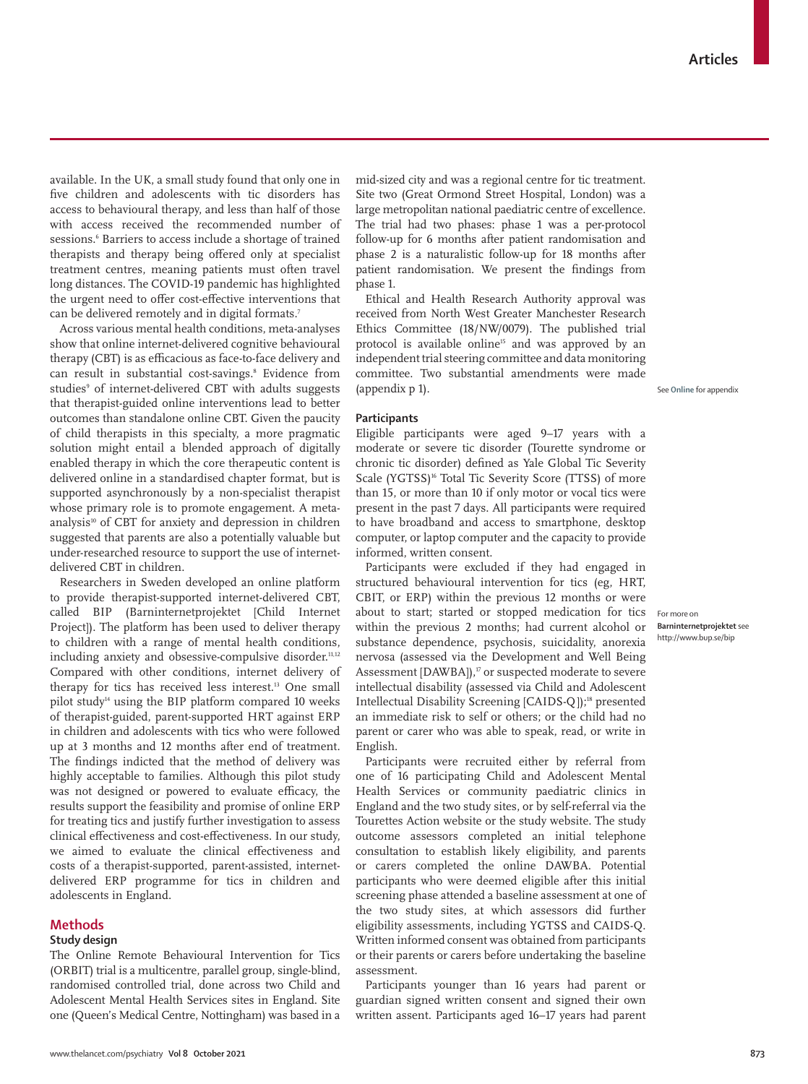available. In the UK, a small study found that only one in five children and adolescents with tic disorders has access to behavioural therapy, and less than half of those with access received the recommended number of sessions.6 Barriers to access include a shortage of trained therapists and therapy being offered only at specialist treatment centres, meaning patients must often travel long distances. The COVID-19 pandemic has highlighted the urgent need to offer cost-effective interventions that can be delivered remotely and in digital formats.7

Across various mental health conditions, meta-analyses show that online internet-delivered cognitive behavioural therapy (CBT) is as efficacious as face-to-face delivery and can result in substantial cost-savings.8 Evidence from studies<sup>,</sup> of internet-delivered CBT with adults suggests that therapist-guided online interventions lead to better outcomes than standalone online CBT. Given the paucity of child therapists in this specialty, a more pragmatic solution might entail a blended approach of digitally enabled therapy in which the core therapeutic content is delivered online in a standardised chapter format, but is supported asynchronously by a non-specialist therapist whose primary role is to promote engagement. A metaanalysis<sup>10</sup> of CBT for anxiety and depression in children suggested that parents are also a potentially valuable but under-researched resource to support the use of internetdelivered CBT in children.

Researchers in Sweden developed an online platform to provide therapist-supported internet-delivered CBT, called BIP [\(Barninternetprojektet](http://www.bup.se/bip) [Child Internet Project]). The platform has been used to deliver therapy to children with a range of mental health conditions, including anxiety and obsessive-compulsive disorder.<sup>11,12</sup> Compared with other conditions, internet delivery of therapy for tics has received less interest.<sup>13</sup> One small pilot study14 using the BIP platform compared 10 weeks of therapist-guided, parent-supported HRT against ERP in children and adolescents with tics who were followed up at 3 months and 12 months after end of treatment. The findings indicted that the method of delivery was highly acceptable to families. Although this pilot study was not designed or powered to evaluate efficacy, the results support the feasibility and promise of online ERP for treating tics and justify further investigation to assess clinical effectiveness and cost-effectiveness. In our study, we aimed to evaluate the clinical effectiveness and costs of a therapist-supported, parent-assisted, internetdelivered ERP programme for tics in children and adolescents in England.

#### **Methods**

## **Study design**

The Online Remote Behavioural Intervention for Tics (ORBIT) trial is a multicentre, parallel group, single-blind, randomised controlled trial, done across two Child and Adolescent Mental Health Services sites in England. Site one (Queen's Medical Centre, Nottingham) was based in a mid-sized city and was a regional centre for tic treatment. Site two (Great Ormond Street Hospital, London) was a large metropolitan national paediatric centre of excellence. The trial had two phases: phase 1 was a per-protocol follow-up for 6 months after patient randomisation and phase 2 is a naturalistic follow-up for 18 months after patient randomisation. We present the findings from phase 1.

Ethical and Health Research Authority approval was received from North West Greater Manchester Research Ethics Committee (18/NW/0079). The published trial protocol is available online<sup>15</sup> and was approved by an independent trial steering committee and data monitoring committee. Two substantial amendments were made (appendix p 1).

**See Online for appendix** 

#### **Participants**

Eligible participants were aged 9–17 years with a moderate or severe tic disorder (Tourette syndrome or chronic tic disorder) defined as Yale Global Tic Severity Scale (YGTSS)<sup>16</sup> Total Tic Severity Score (TTSS) of more than 15, or more than 10 if only motor or vocal tics were present in the past 7 days. All participants were required to have broadband and access to smartphone, desktop computer, or laptop computer and the capacity to provide informed, written consent.

Participants were excluded if they had engaged in structured behavioural intervention for tics (eg, HRT, CBIT, or ERP) within the previous 12 months or were about to start; started or stopped medication for tics within the previous 2 months; had current alcohol or substance dependence, psychosis, suicidality, anorexia nervosa (assessed via the Development and Well Being Assessment [DAWBA]),<sup>17</sup> or suspected moderate to severe intellectual disability (assessed via Child and Adolescent Intellectual Disability Screening [CAIDS-Q]);18 presented an immediate risk to self or others; or the child had no parent or carer who was able to speak, read, or write in English.

Participants were recruited either by referral from one of 16 participating Child and Adolescent Mental Health Services or community paediatric clinics in England and the two study sites, or by self-referral via the Tourettes Action website or the study website. The study outcome assessors completed an initial telephone consultation to establish likely eligibility, and parents or carers completed the online DAWBA. Potential participants who were deemed eligible after this initial screening phase attended a baseline assessment at one of the two study sites, at which assessors did further eligibility assessments, including YGTSS and CAIDS-Q. Written informed consent was obtained from participants or their parents or carers before undertaking the baseline assessment.

Participants younger than 16 years had parent or guardian signed written consent and signed their own written assent. Participants aged 16–17 years had parent For more on **Barninternetprojektet** see http://www.bup.se/bip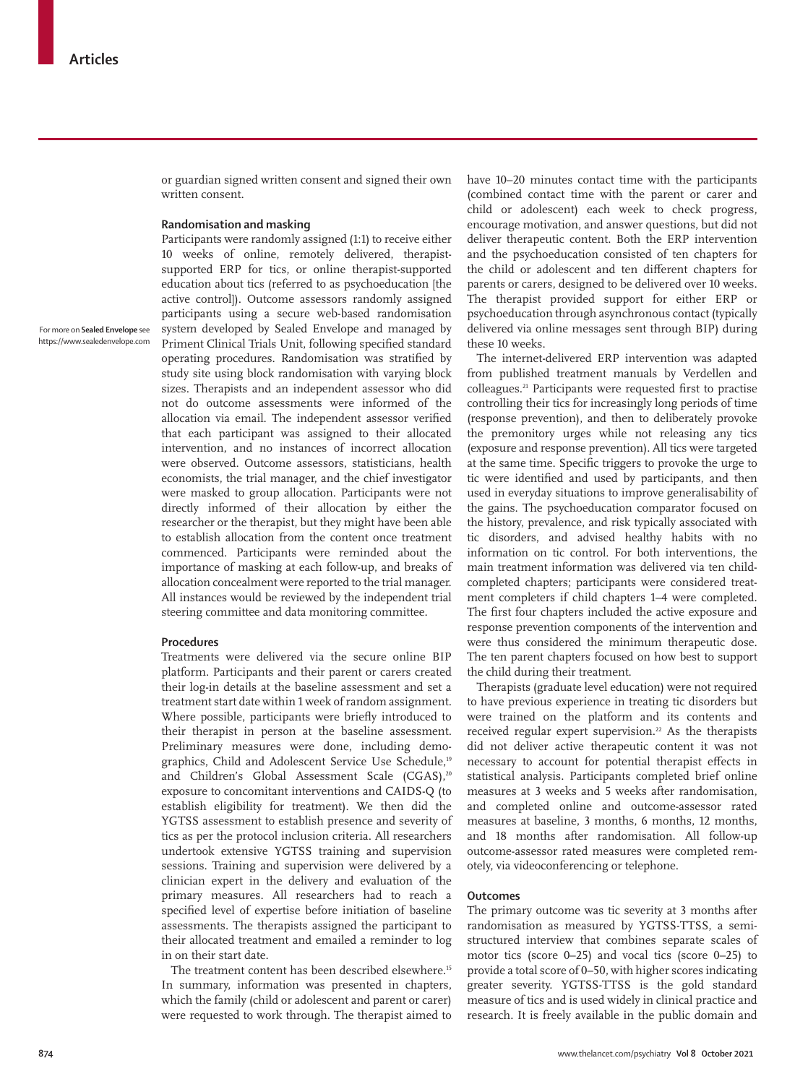or guardian signed written consent and signed their own written consent.

### **Randomisation and masking**

For more on **Sealed Envelope** see https://www.sealedenvelope.com

Participants were randomly assigned (1:1) to receive either 10 weeks of online, remotely delivered, therapistsupported ERP for tics, or online therapist-supported education about tics (referred to as psychoeducation [the active control]). Outcome assessors randomly assigned participants using a secure web-based randomisation system developed by [Sealed Envelope](https://www.sealedenvelope.com) and managed by Priment Clinical Trials Unit, following specified standard operating procedures. Randomisation was stratified by study site using block randomisation with varying block sizes. Therapists and an independent assessor who did not do outcome assessments were informed of the allocation via email. The independent assessor verified that each participant was assigned to their allocated intervention, and no instances of incorrect allocation were observed. Outcome assessors, statisticians, health economists, the trial manager, and the chief investigator were masked to group allocation. Participants were not directly informed of their allocation by either the researcher or the therapist, but they might have been able to establish allocation from the content once treatment commenced. Participants were reminded about the importance of masking at each follow-up, and breaks of allocation concealment were reported to the trial manager. All instances would be reviewed by the independent trial steering committee and data monitoring committee.

#### **Procedures**

Treatments were delivered via the secure online BIP platform. Participants and their parent or carers created their log-in details at the baseline assessment and set a treatment start date within 1 week of random assignment. Where possible, participants were briefly introduced to their therapist in person at the baseline assessment. Preliminary measures were done, including demographics, Child and Adolescent Service Use Schedule,<sup>19</sup> and Children's Global Assessment Scale (CGAS),<sup>20</sup> exposure to concomitant interventions and CAIDS-Q (to establish eligibility for treatment). We then did the YGTSS assessment to establish presence and severity of tics as per the protocol inclusion criteria. All researchers undertook extensive YGTSS training and supervision sessions. Training and supervision were delivered by a clinician expert in the delivery and evaluation of the primary measures. All researchers had to reach a specified level of expertise before initiation of baseline assessments. The therapists assigned the participant to their allocated treatment and emailed a reminder to log in on their start date.

The treatment content has been described elsewhere.<sup>15</sup> In summary, information was presented in chapters, which the family (child or adolescent and parent or carer) were requested to work through. The therapist aimed to have 10–20 minutes contact time with the participants (combined contact time with the parent or carer and child or adolescent) each week to check progress, encourage motivation, and answer questions, but did not deliver therapeutic content. Both the ERP intervention and the psychoeducation consisted of ten chapters for the child or adolescent and ten different chapters for parents or carers, designed to be delivered over 10 weeks. The therapist provided support for either ERP or psychoeducation through asynchronous contact (typically delivered via online messages sent through BIP) during these 10 weeks.

The internet-delivered ERP intervention was adapted from published treatment manuals by Verdellen and colleagues.21 Participants were requested first to practise controlling their tics for increasingly long periods of time (response prevention), and then to deliberately provoke the premonitory urges while not releasing any tics (exposure and response prevention). All tics were targeted at the same time. Specific triggers to provoke the urge to tic were identified and used by participants, and then used in everyday situations to improve generalisability of the gains. The psychoeducation comparator focused on the history, prevalence, and risk typically associated with tic disorders, and advised healthy habits with no information on tic control. For both interventions, the main treatment information was delivered via ten childcompleted chapters; participants were considered treatment completers if child chapters 1–4 were completed. The first four chapters included the active exposure and response prevention components of the intervention and were thus considered the minimum therapeutic dose. The ten parent chapters focused on how best to support the child during their treatment.

Therapists (graduate level education) were not required to have previous experience in treating tic disorders but were trained on the platform and its contents and received regular expert supervision.<sup>22</sup> As the therapists did not deliver active therapeutic content it was not necessary to account for potential therapist effects in statistical analysis. Participants completed brief online measures at 3 weeks and 5 weeks after randomisation, and completed online and outcome-assessor rated measures at baseline, 3 months, 6 months, 12 months, and 18 months after randomisation. All follow-up outcome-assessor rated measures were completed remotely, via videoconferencing or telephone.

## **Outcomes**

The primary outcome was tic severity at 3 months after randomisation as measured by YGTSS-TTSS, a semistructured interview that combines separate scales of motor tics (score 0–25) and vocal tics (score 0–25) to provide a total score of 0–50, with higher scores indicating greater severity. YGTSS-TTSS is the gold standard measure of tics and is used widely in clinical practice and research. It is freely available in the public domain and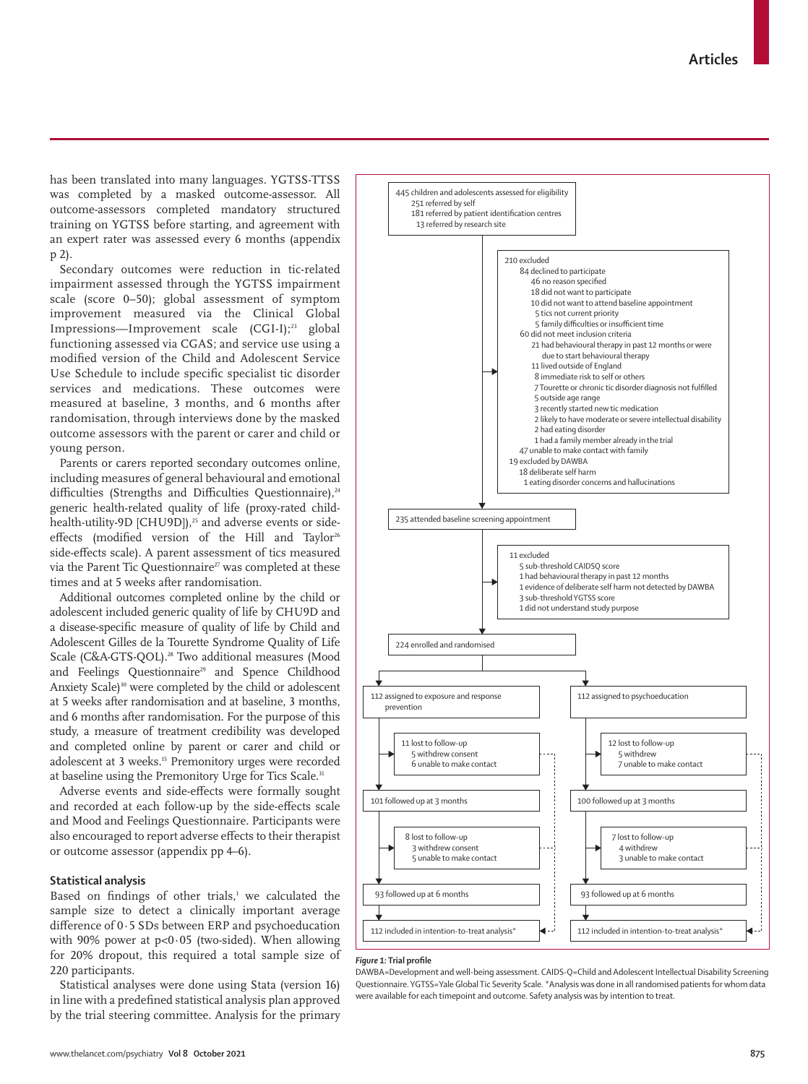has been translated into many languages. YGTSS-TTSS was completed by a masked outcome-assessor. All outcome-assessors completed mandatory structured training on YGTSS before starting, and agreement with an expert rater was assessed every 6 months (appendix p 2).

Secondary outcomes were reduction in tic-related impairment assessed through the YGTSS impairment scale (score 0–50); global assessment of symptom improvement measured via the Clinical Global Impressions—Improvement scale (CGI-I);<sup>23</sup> global functioning assessed via CGAS; and service use using a modified version of the Child and Adolescent Service Use Schedule to include specific specialist tic disorder services and medications. These outcomes were measured at baseline, 3 months, and 6 months after randomisation, through interviews done by the masked outcome assessors with the parent or carer and child or young person.

Parents or carers reported secondary outcomes online, including measures of general behavioural and emotional difficulties (Strengths and Difficulties Questionnaire),<sup>24</sup> generic health-related quality of life (proxy-rated childhealth-utility-9D [CHU9D]),<sup>25</sup> and adverse events or sideeffects (modified version of the Hill and Taylor<sup>26</sup> side-effects scale). A parent assessment of tics measured via the Parent Tic Questionnaire<sup>27</sup> was completed at these times and at 5 weeks after randomisation.

Additional outcomes completed online by the child or adolescent included generic quality of life by CHU9D and a disease-specific measure of quality of life by Child and Adolescent Gilles de la Tourette Syndrome Quality of Life Scale (C&A-GTS-QOL).<sup>28</sup> Two additional measures (Mood and Feelings Questionnaire<sup>29</sup> and Spence Childhood Anxiety Scale)<sup>30</sup> were completed by the child or adolescent at 5 weeks after randomisation and at baseline, 3 months, and 6 months after randomisation. For the purpose of this study, a measure of treatment credibility was developed and completed online by parent or carer and child or adolescent at 3 weeks.15 Premonitory urges were recorded at baseline using the Premonitory Urge for Tics Scale.<sup>31</sup>

Adverse events and side-effects were formally sought and recorded at each follow-up by the side-effects scale and Mood and Feelings Questionnaire. Participants were also encouraged to report adverse effects to their therapist or outcome assessor (appendix pp 4–6).

## **Statistical analysis**

Based on findings of other trials, $1$  we calculated the sample size to detect a clinically important average difference of 0·5 SDs between ERP and psychoeducation with 90% power at  $p<0.05$  (two-sided). When allowing for 20% dropout, this required a total sample size of 220 participants.

Statistical analyses were done using Stata (version 16) in line with a predefined statistical analysis plan approved by the trial steering committee. Analysis for the primary



#### *Figure 1:* **Trial profile**

DAWBA=Development and well-being assessment. CAIDS-Q=Child and Adolescent Intellectual Disability Screening Questionnaire. YGTSS=Yale Global Tic Severity Scale. \*Analysis was done in all randomised patients for whom data were available for each timepoint and outcome. Safety analysis was by intention to treat.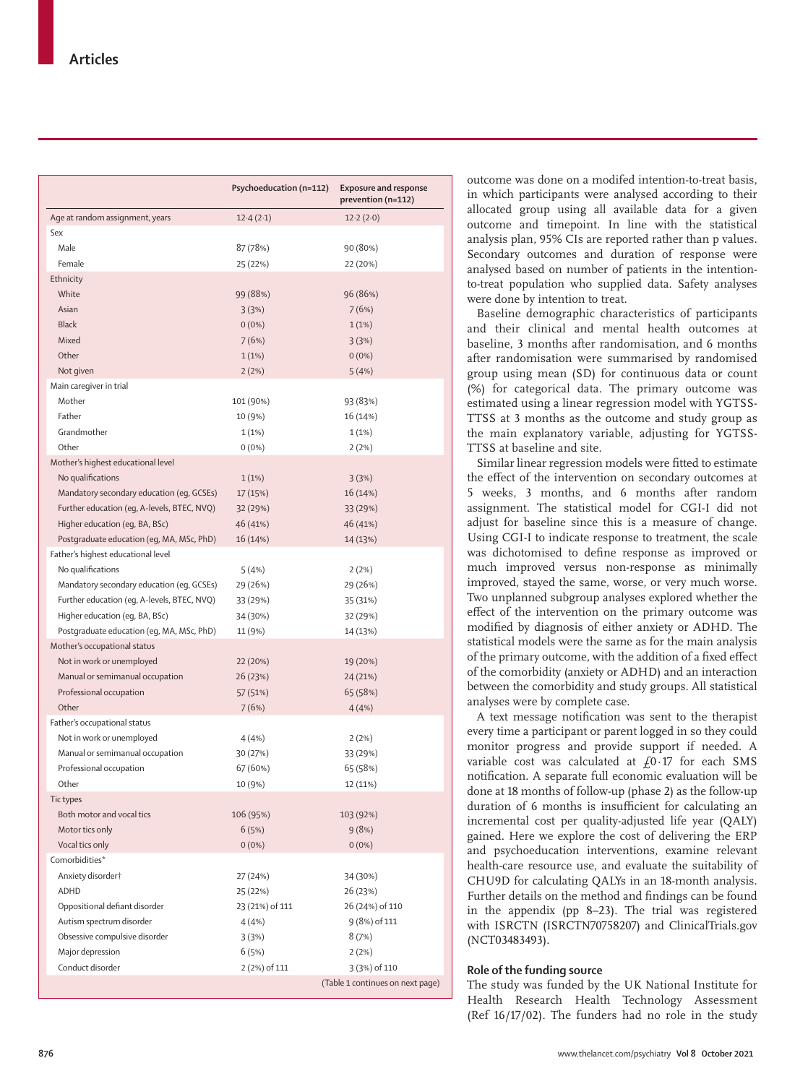|                                             | Psychoeducation (n=112) | <b>Exposure and response</b><br>prevention (n=112) |
|---------------------------------------------|-------------------------|----------------------------------------------------|
| Age at random assignment, years             | 12.4(2.1)               | 12.2(2.0)                                          |
| Sex                                         |                         |                                                    |
| Male                                        | 87 (78%)                | 90 (80%)                                           |
| Female                                      | 25 (22%)                | 22 (20%)                                           |
| Ethnicity                                   |                         |                                                    |
| White                                       | 99 (88%)                | 96 (86%)                                           |
| Asian                                       | 3(3%)                   | 7(6%)                                              |
| <b>Black</b>                                | $0(0\%)$                | 1(1%)                                              |
| Mixed                                       | 7(6%)                   | 3(3%)                                              |
| Other                                       | 1(1%)                   | $0(0\%)$                                           |
| Not given                                   | 2(2%)                   | 5(4%)                                              |
| Main caregiver in trial                     |                         |                                                    |
| Mother                                      | 101 (90%)               | 93 (83%)                                           |
| Father                                      | 10 (9%)                 | 16 (14%)                                           |
| Grandmother                                 | 1(1%)                   | 1(1%)                                              |
| Other                                       | $0(0\%)$                | 2(2%)                                              |
| Mother's highest educational level          |                         |                                                    |
| No qualifications                           | 1(1%)                   | 3(3%)                                              |
| Mandatory secondary education (eg, GCSEs)   | 17 (15%)                | 16 (14%)                                           |
| Further education (eg, A-levels, BTEC, NVQ) | 32 (29%)                | 33 (29%)                                           |
| Higher education (eg, BA, BSc)              | 46 (41%)                | 46 (41%)                                           |
| Postgraduate education (eg, MA, MSc, PhD)   | 16 (14%)                | 14 (13%)                                           |
| Father's highest educational level          |                         |                                                    |
| No qualifications                           | 5 (4%)                  | 2(2%)                                              |
| Mandatory secondary education (eq, GCSEs)   | 29 (26%)                | 29 (26%)                                           |
| Further education (eq, A-levels, BTEC, NVQ) | 33 (29%)                | 35 (31%)                                           |
| Higher education (eg, BA, BSc)              | 34 (30%)                | 32 (29%)                                           |
| Postgraduate education (eg, MA, MSc, PhD)   | 11 (9%)                 | 14 (13%)                                           |
| Mother's occupational status                |                         |                                                    |
| Not in work or unemployed                   | 22 (20%)                | 19 (20%)                                           |
| Manual or semimanual occupation             | 26 (23%)                | 24 (21%)                                           |
| Professional occupation                     | 57 (51%)                | 65 (58%)                                           |
| Other                                       | 7(6%)                   | 4(4%)                                              |
| Father's occupational status                |                         |                                                    |
| Not in work or unemployed                   | 4 (4%)                  | 2(2%)                                              |
| Manual or semimanual occupation             | 30 (27%)                | 33 (29%)                                           |
| Professional occupation                     | 67 (60%)                | 65 (58%)                                           |
| Other                                       | 10 (9%)                 | 12 (11%)                                           |
| Tic types                                   |                         |                                                    |
| Both motor and vocal tics                   | 106 (95%)               | 103 (92%)                                          |
| Motor tics only                             | 6(5%)                   | 9(8%)                                              |
| Vocal tics only                             | $0(0\%)$                | $0(0\%)$                                           |
| Comorbidities*                              |                         |                                                    |
| Anxiety disordert                           | 27 (24%)                | 34 (30%)                                           |
| ADHD                                        | 25 (22%)                | 26 (23%)                                           |
| Oppositional defiant disorder               | 23 (21%) of 111         | 26 (24%) of 110                                    |
| Autism spectrum disorder                    | 4(4%)                   | 9 (8%) of 111                                      |
| Obsessive compulsive disorder               | 3(3%)                   | 8(7%)                                              |
| Major depression                            | 6(5%)                   | 2(2%)                                              |
| Conduct disorder                            | 2 (2%) of 111           | 3 (3%) of 110                                      |
|                                             |                         | (Table 1 continues on next page)                   |

outcome was done on a modifed intention-to-treat basis, in which participants were analysed according to their allocated group using all available data for a given outcome and timepoint. In line with the statistical analysis plan, 95% CIs are reported rather than p values. Secondary outcomes and duration of response were analysed based on number of patients in the intentionto-treat population who supplied data. Safety analyses were done by intention to treat.

Baseline demographic characteristics of participants and their clinical and mental health outcomes at baseline, 3 months after randomisation, and 6 months after randomisation were summarised by randomised group using mean (SD) for continuous data or count (%) for categorical data. The primary outcome was estimated using a linear regression model with YGTSS-TTSS at 3 months as the outcome and study group as the main explanatory variable, adjusting for YGTSS-TTSS at baseline and site.

Similar linear regression models were fitted to estimate the effect of the intervention on secondary outcomes at 5 weeks, 3 months, and 6 months after random assignment. The statistical model for CGI-I did not adjust for baseline since this is a measure of change. Using CGI-I to indicate response to treatment, the scale was dichotomised to define response as improved or much improved versus non-response as minimally improved, stayed the same, worse, or very much worse. Two unplanned subgroup analyses explored whether the effect of the intervention on the primary outcome was modified by diagnosis of either anxiety or ADHD. The statistical models were the same as for the main analysis of the primary outcome, with the addition of a fixed effect of the comorbidity (anxiety or ADHD) and an interaction between the comorbidity and study groups. All statistical analyses were by complete case.

A text message notification was sent to the therapist every time a participant or parent logged in so they could monitor progress and provide support if needed. A variable cost was calculated at  $f_0$ . 17 for each SMS notification. A separate full economic evaluation will be done at 18 months of follow-up (phase 2) as the follow-up duration of 6 months is insufficient for calculating an incremental cost per quality-adjusted life year (QALY) gained. Here we explore the cost of delivering the ERP and psychoeducation interventions, examine relevant health-care resource use, and evaluate the suitability of CHU9D for calculating QALYs in an 18-month analysis. Further details on the method and findings can be found in the appendix (pp 8–23). The trial was registered with ISRCTN (ISRCTN70758207) and ClinicalTrials.gov (NCT03483493).

## **Role of the funding source**

The study was funded by the UK National Institute for Health Research Health Technology Assessment (Ref 16/17/02). The funders had no role in the study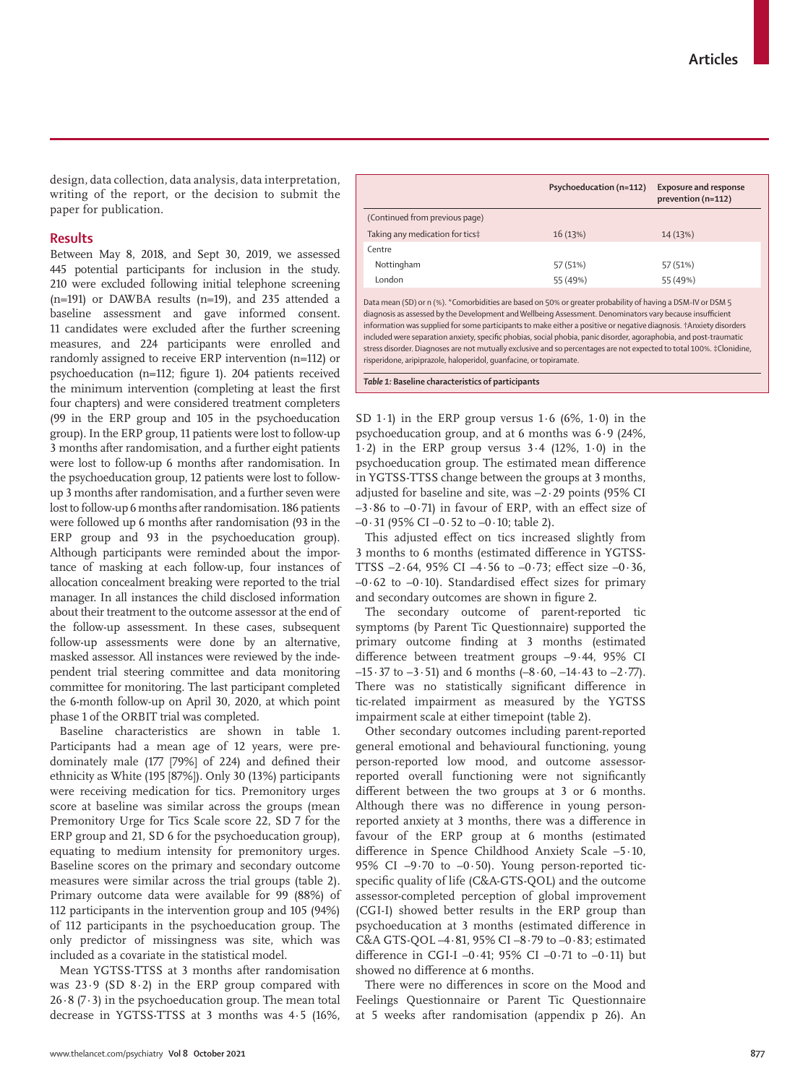design, data collection, data analysis, data interpretation, writing of the report, or the decision to submit the paper for publication.

#### **Results**

Between May 8, 2018, and Sept 30, 2019, we assessed 445 potential participants for inclusion in the study. 210 were excluded following initial telephone screening (n=191) or DAWBA results (n=19), and 235 attended a baseline assessment and gave informed consent. 11 candidates were excluded after the further screening measures, and 224 participants were enrolled and randomly assigned to receive ERP intervention (n=112) or psychoeducation (n=112; figure 1). 204 patients received the minimum intervention (completing at least the first four chapters) and were considered treatment completers (99 in the ERP group and 105 in the psychoeducation group). In the ERP group, 11 patients were lost to follow-up 3 months after randomisation, and a further eight patients were lost to follow-up 6 months after randomisation. In the psychoeducation group, 12 patients were lost to followup 3 months after randomisation, and a further seven were lost to follow-up 6 months after randomisation. 186 patients were followed up 6 months after randomisation (93 in the ERP group and 93 in the psychoeducation group). Although participants were reminded about the importance of masking at each follow-up, four instances of allocation concealment breaking were reported to the trial manager. In all instances the child disclosed information about their treatment to the outcome assessor at the end of the follow-up assessment. In these cases, subsequent follow-up assessments were done by an alternative, masked assessor. All instances were reviewed by the independent trial steering committee and data monitoring committee for monitoring. The last participant completed the 6-month follow-up on April 30, 2020, at which point phase 1 of the ORBIT trial was completed.

Baseline characteristics are shown in table 1. Participants had a mean age of 12 years, were predominately male (177 [79%] of 224) and defined their ethnicity as White (195 [87%]). Only 30 (13%) participants were receiving medication for tics. Premonitory urges score at baseline was similar across the groups (mean Premonitory Urge for Tics Scale score 22, SD 7 for the ERP group and 21, SD 6 for the psychoeducation group), equating to medium intensity for premonitory urges. Baseline scores on the primary and secondary outcome measures were similar across the trial groups (table 2). Primary outcome data were available for 99 (88%) of 112 participants in the intervention group and 105 (94%) of 112 participants in the psychoeducation group. The only predictor of missingness was site, which was included as a covariate in the statistical model.

Mean YGTSS-TTSS at 3 months after randomisation was 23·9 (SD 8·2) in the ERP group compared with  $26.8$  (7.3) in the psychoeducation group. The mean total decrease in YGTSS-TTSS at 3 months was 4·5 (16%,

Data mean (SD) or n (%). \*Comorbidities are based on 50% or greater probability of having a DSM-IV or DSM 5 diagnosis as assessed by the Development and Wellbeing Assessment. Denominators vary because insufficient information was supplied for some participants to make either a positive or negative diagnosis. †Anxiety disorders included were separation anxiety, specific phobias, social phobia, panic disorder, agoraphobia, and post-traumatic stress disorder. Diagnoses are not mutually exclusive and so percentages are not expected to total 100%. ‡Clonidine, risperidone, aripiprazole, haloperidol, guanfacine, or topiramate.

*Table 1:* **Baseline characteristics of participants**

SD 1 $\cdot$ 1) in the ERP group versus 1 $\cdot$  6 (6%, 1 $\cdot$ 0) in the psychoeducation group, and at 6 months was 6·9 (24%, 1.2) in the ERP group versus  $3.4$  (12%, 1.0) in the psychoeducation group. The estimated mean difference in YGTSS-TTSS change between the groups at 3 months, adjusted for baseline and site, was –2·29 points (95% CI  $-3.86$  to  $-0.71$ ) in favour of ERP, with an effect size of  $-0.31$  (95% CI $-0.52$  to  $-0.10$ ; table 2).

This adjusted effect on tics increased slightly from 3 months to 6 months (estimated difference in YGTSS-TTSS  $-2.64$ , 95% CI  $-4.56$  to  $-0.73$ ; effect size  $-0.36$ ,  $-0.62$  to  $-0.10$ ). Standardised effect sizes for primary and secondary outcomes are shown in figure 2.

The secondary outcome of parent-reported tic symptoms (by Parent Tic Questionnaire) supported the primary outcome finding at 3 months (estimated difference between treatment groups –9·44, 95% CI  $-15.37$  to  $-3.51$ ) and 6 months  $(-8.60, -14.43$  to  $-2.77)$ . There was no statistically significant difference in tic-related impairment as measured by the YGTSS impairment scale at either timepoint (table 2).

Other secondary outcomes including parent-reported general emotional and behavioural functioning, young person-reported low mood, and outcome assessorreported overall functioning were not significantly different between the two groups at 3 or 6 months. Although there was no difference in young personreported anxiety at 3 months, there was a difference in favour of the ERP group at 6 months (estimated difference in Spence Childhood Anxiety Scale –5·10, 95% CI  $-9.70$  to  $-0.50$ ). Young person-reported ticspecific quality of life (C&A-GTS-QOL) and the outcome assessor-completed perception of global improvement (CGI-I) showed better results in the ERP group than psychoeducation at 3 months (estimated difference in C&A GTS-QOL –4·81, 95% CI –8·79 to –0·83; estimated difference in CGI-I –0.41; 95% CI –0.71 to –0.11) but showed no difference at 6 months.

There were no differences in score on the Mood and Feelings Questionnaire or Parent Tic Questionnaire at 5 weeks after randomisation (appendix p 26). An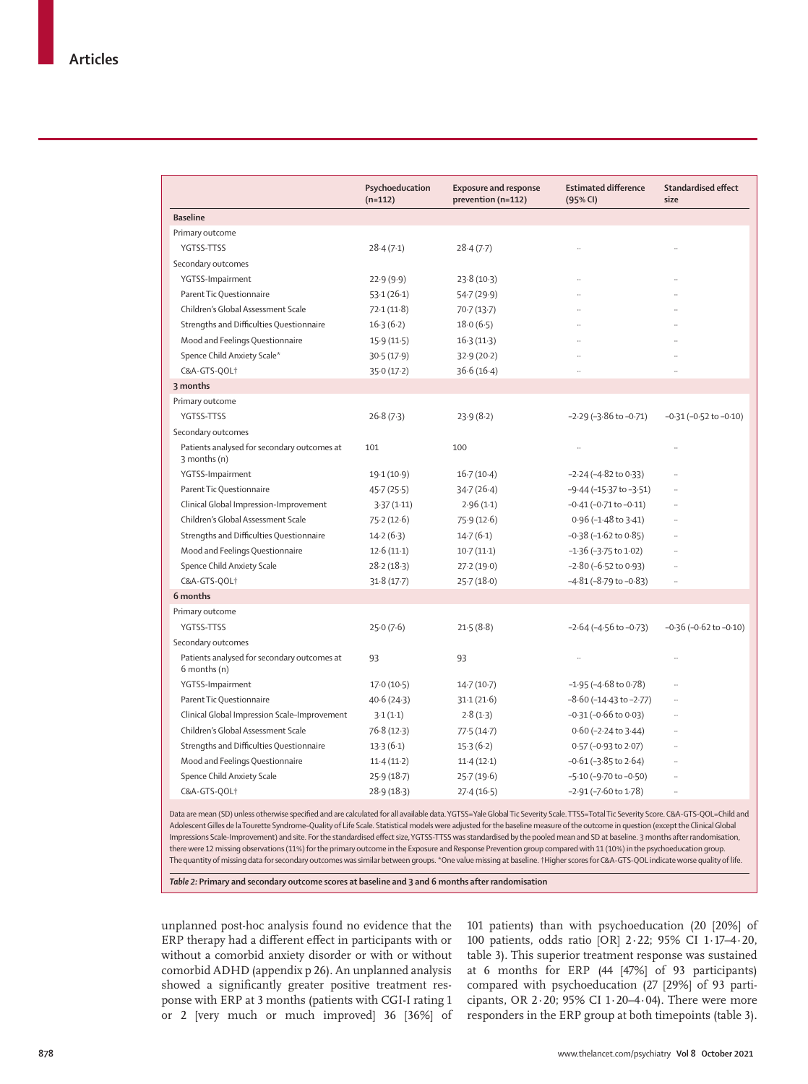|                                                             | Psychoeducation<br>$(n=112)$ | <b>Exposure and response</b><br>prevention (n=112) | <b>Estimated difference</b><br>(95% CI) | <b>Standardised effect</b><br>size |
|-------------------------------------------------------------|------------------------------|----------------------------------------------------|-----------------------------------------|------------------------------------|
| <b>Baseline</b>                                             |                              |                                                    |                                         |                                    |
| Primary outcome                                             |                              |                                                    |                                         |                                    |
| YGTSS-TTSS                                                  | 28.4(7.1)                    | 28.4(7.7)                                          | $\ddot{\phantom{a}}$                    | $\ddot{\phantom{a}}$               |
| Secondary outcomes                                          |                              |                                                    |                                         |                                    |
| YGTSS-Impairment                                            | 22.9(9.9)                    | 23.8(10.3)                                         |                                         |                                    |
| Parent Tic Questionnaire                                    | 53.1(26.1)                   | 54.7(29.9)                                         | $\ddot{\phantom{a}}$                    |                                    |
| Children's Global Assessment Scale                          | 72.1(11.8)                   | 70.7(13.7)                                         | $\ddot{\phantom{a}}$                    |                                    |
| Strengths and Difficulties Questionnaire                    | 16.3(6.2)                    | 18.0(6.5)                                          | $\ddot{\phantom{a}}$                    |                                    |
| Mood and Feelings Questionnaire                             | 15.9(11.5)                   | 16.3(11.3)                                         |                                         |                                    |
| Spence Child Anxiety Scale*                                 | 30.5(17.9)                   | 32.9(20.2)                                         |                                         |                                    |
| C&A-GTS-QOL†                                                | 35.0(17.2)                   | 36.6(16.4)                                         | $\ddot{\phantom{a}}$                    |                                    |
| 3 months                                                    |                              |                                                    |                                         |                                    |
| Primary outcome                                             |                              |                                                    |                                         |                                    |
| YGTSS-TTSS                                                  | 26.8(7.3)                    | 23.9(8.2)                                          | $-2.29$ ( $-3.86$ to $-0.71$ )          | $-0.31$ ( $-0.52$ to $-0.10$ )     |
| Secondary outcomes                                          |                              |                                                    |                                         |                                    |
| Patients analysed for secondary outcomes at<br>3 months (n) | 101                          | 100                                                | $\ddot{\phantom{a}}$                    | $\ddot{\phantom{a}}$               |
| YGTSS-Impairment                                            | 19.1 (10.9)                  | 16.7(10.4)                                         | $-2.24$ ( $-4.82$ to 0.33)              |                                    |
| Parent Tic Questionnaire                                    | 45.7(25.5)                   | 34.7(26.4)                                         | $-9.44$ ( $-15.37$ to $-3.51$ )         |                                    |
| Clinical Global Impression-Improvement                      | 3.37(1.11)                   | 2.96(1.1)                                          | $-0.41$ ( $-0.71$ to $-0.11$ )          |                                    |
| Children's Global Assessment Scale                          | 75.2(12.6)                   | 75.9(12.6)                                         | $0.96$ ( $-1.48$ to $3.41$ )            |                                    |
| Strengths and Difficulties Questionnaire                    | 14.2(6.3)                    | 14.7(6.1)                                          | $-0.38$ ( $-1.62$ to $0.85$ )           |                                    |
| Mood and Feelings Questionnaire                             | 12.6(11.1)                   | 10.7(11.1)                                         | $-1.36$ ( $-3.75$ to $1.02$ )           |                                    |
| Spence Child Anxiety Scale                                  | 28.2(18.3)                   | 27.2(19.0)                                         | $-2.80$ ( $-6.52$ to 0.93)              |                                    |
| C&A-GTS-QOL†                                                | 31.8(17.7)                   | 25.7(18.0)                                         | $-4.81 (-8.79$ to $-0.83)$              | $\ddotsc$                          |
| 6 months                                                    |                              |                                                    |                                         |                                    |
| Primary outcome                                             |                              |                                                    |                                         |                                    |
| YGTSS-TTSS                                                  | 25.0(7.6)                    | 21.5(8.8)                                          | $-2.64$ ( $-4.56$ to $-0.73$ )          | $-0.36$ ( $-0.62$ to $-0.10$ )     |
| Secondary outcomes                                          |                              |                                                    |                                         |                                    |
| Patients analysed for secondary outcomes at<br>6 months (n) | 93                           | 93                                                 |                                         |                                    |
| YGTSS-Impairment                                            | 17.0(10.5)                   | 14.7(10.7)                                         | $-1.95$ ( $-4.68$ to 0.78)              |                                    |
| Parent Tic Questionnaire                                    | 40.6 (24.3)                  | 31.1(21.6)                                         | $-8.60$ ( $-14.43$ to $-2.77$ )         |                                    |
| Clinical Global Impression Scale-Improvement                | 3.1(1.1)                     | 2.8(1.3)                                           | $-0.31$ ( $-0.66$ to 0.03)              |                                    |
| Children's Global Assessment Scale                          | 76.8(12.3)                   | 77.5(14.7)                                         | $0.60$ (-2.24 to 3.44)                  |                                    |
| Strengths and Difficulties Questionnaire                    | 13.3(6.1)                    | 15.3(6.2)                                          | 0.57 (-0.93 to 2.07)                    |                                    |
| Mood and Feelings Questionnaire                             | 11.4(11.2)                   | 11.4(12.1)                                         | $-0.61$ ( $-3.85$ to 2.64)              |                                    |
| Spence Child Anxiety Scale                                  | 25.9(18.7)                   | 25.7 (19.6)                                        | $-5.10$ ( $-9.70$ to $-0.50$ )          |                                    |
| C&A-GTS-QOL+                                                | 28.9 (18.3)                  | 27.4(16.5)                                         | $-2.91$ ( $-7.60$ to 1.78)              | $\ddot{\phantom{0}}$               |

there were 12 missing observations (11%) for the primary outcome in the Exposure and Response Prevention group compared with 11 (10%) in the psychoeducation group. The quantity of missing data for secondary outcomes was similar between groups. \*One value missing at baseline. †Higher scores for C&A-GTS-QOL indicate worse quality of life.

*Table 2:* **Primary and secondary outcome scores at baseline and 3 and 6 months after randomisation**

unplanned post-hoc analysis found no evidence that the ERP therapy had a different effect in participants with or without a comorbid anxiety disorder or with or without comorbid ADHD (appendix p 26). An unplanned analysis showed a significantly greater positive treatment response with ERP at 3 months (patients with CGI-I rating 1 or 2 [very much or much improved] 36 [36%] of 101 patients) than with psychoeducation (20 [20%] of 100 patients, odds ratio [OR] 2·22; 95% CI 1·17–4·20, table 3). This superior treatment response was sustained at 6 months for ERP (44 [47%] of 93 participants) compared with psychoeducation (27 [29%] of 93 participants, OR  $2.20$ ; 95% CI  $1.20-4.04$ ). There were more responders in the ERP group at both timepoints (table 3).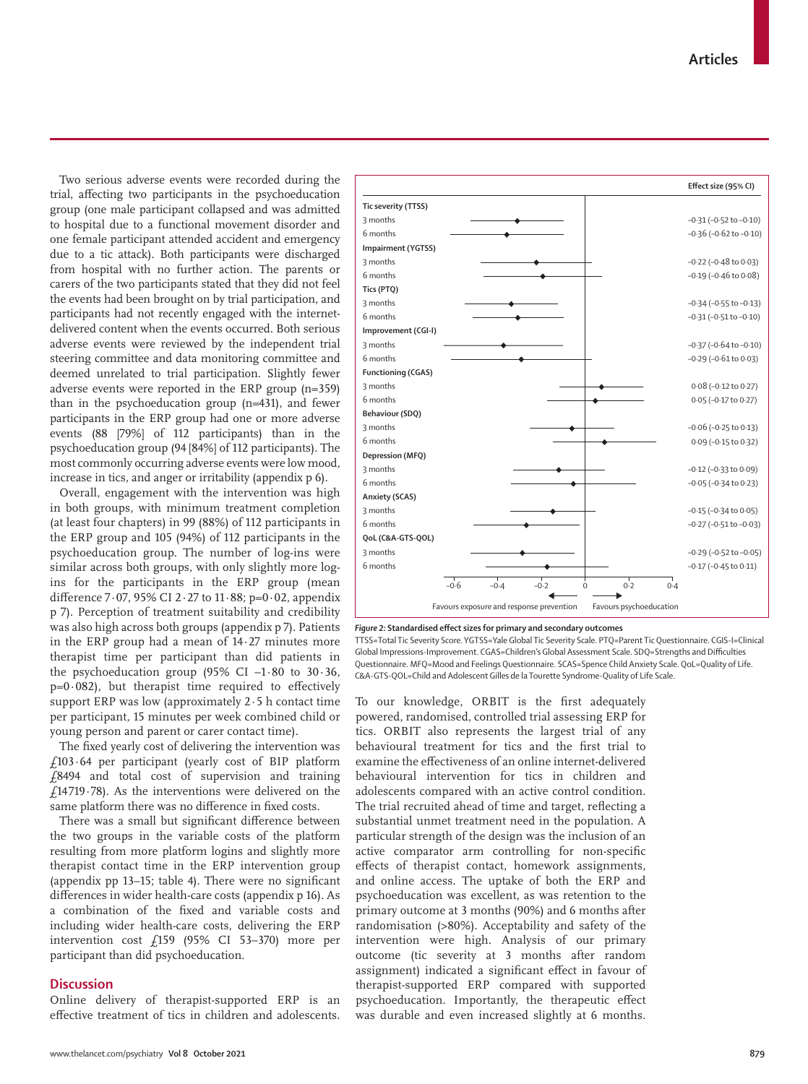Two serious adverse events were recorded during the trial, affecting two participants in the psychoeducation group (one male participant collapsed and was admitted to hospital due to a functional movement disorder and one female participant attended accident and emergency due to a tic attack). Both participants were discharged from hospital with no further action. The parents or carers of the two participants stated that they did not feel the events had been brought on by trial participation, and participants had not recently engaged with the internetdelivered content when the events occurred. Both serious adverse events were reviewed by the independent trial steering committee and data monitoring committee and deemed unrelated to trial participation. Slightly fewer adverse events were reported in the ERP group (n=359) than in the psychoeducation group (n=431), and fewer participants in the ERP group had one or more adverse events (88 [79%] of 112 participants) than in the psychoeducation group (94 [84%] of 112 participants). The most commonly occurring adverse events were low mood, increase in tics, and anger or irritability (appendix p 6).

Overall, engagement with the intervention was high in both groups, with minimum treatment completion (at least four chapters) in 99 (88%) of 112 participants in the ERP group and 105 (94%) of 112 participants in the psychoeducation group. The number of log-ins were similar across both groups, with only slightly more logins for the participants in the ERP group (mean difference 7 $\cdot$  07, 95% CI 2 $\cdot$  27 to 11 $\cdot$  88; p=0 $\cdot$  02, appendix p 7). Perception of treatment suitability and credibility was also high across both groups (appendix p 7). Patients in the ERP group had a mean of 14·27 minutes more therapist time per participant than did patients in the psychoeducation group  $(95\% \text{ CI } -1.80 \text{ to } 30.36)$ ,  $p=0.082$ ), but therapist time required to effectively support ERP was low (approximately 2·5 h contact time per participant, 15 minutes per week combined child or young person and parent or carer contact time).

The fixed yearly cost of delivering the intervention was £103·64 per participant (yearly cost of BIP platform £8494 and total cost of supervision and training £14 719·78). As the interventions were delivered on the same platform there was no difference in fixed costs.

There was a small but significant difference between the two groups in the variable costs of the platform resulting from more platform logins and slightly more therapist contact time in the ERP intervention group (appendix pp 13–15; table 4). There were no significant differences in wider health-care costs (appendix p 16). As a combination of the fixed and variable costs and including wider health-care costs, delivering the ERP intervention cost £159 (95% CI 53–370) more per participant than did psychoeducation.

### **Discussion**

Online delivery of therapist-supported ERP is an effective treatment of tics in children and adolescents.



*Figure 2:* **Standardised effect sizes for primary and secondary outcomes**

TTSS=Total Tic Severity Score. YGTSS=Yale Global Tic Severity Scale. PTQ=Parent Tic Questionnaire. CGIS-I=Clinical Global Impressions-Improvement. CGAS=Children's Global Assessment Scale. SDQ=Strengths and Difficulties Questionnaire. MFQ=Mood and Feelings Questionnaire. SCAS=Spence Child Anxiety Scale. QoL=Quality of Life. C&A-GTS-QOL=Child and Adolescent Gilles de la Tourette Syndrome-Quality of Life Scale.

To our knowledge, ORBIT is the first adequately powered, randomised, controlled trial assessing ERP for tics. ORBIT also represents the largest trial of any behavioural treatment for tics and the first trial to examine the effectiveness of an online internet-delivered behavioural intervention for tics in children and adolescents compared with an active control condition. The trial recruited ahead of time and target, reflecting a substantial unmet treatment need in the population. A particular strength of the design was the inclusion of an active comparator arm controlling for non-specific effects of therapist contact, homework assignments, and online access. The uptake of both the ERP and psychoeducation was excellent, as was retention to the primary outcome at 3 months (90%) and 6 months after randomisation (>80%). Acceptability and safety of the intervention were high. Analysis of our primary outcome (tic severity at 3 months after random assignment) indicated a significant effect in favour of therapist-supported ERP compared with supported psychoeducation. Importantly, the therapeutic effect was durable and even increased slightly at 6 months.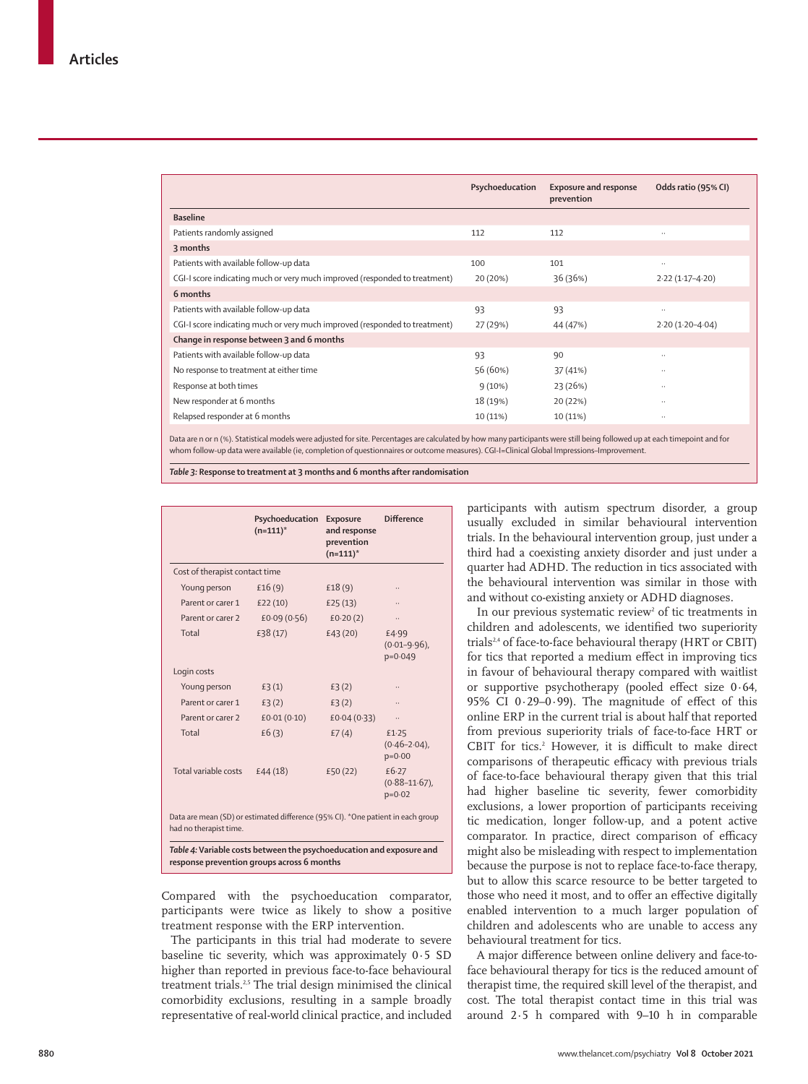|                                                                            | Psychoeducation | <b>Exposure and response</b><br>prevention | Odds ratio (95% CI) |
|----------------------------------------------------------------------------|-----------------|--------------------------------------------|---------------------|
| <b>Baseline</b>                                                            |                 |                                            |                     |
| Patients randomly assigned                                                 | 112             | 112                                        | $\ldots$            |
| 3 months                                                                   |                 |                                            |                     |
| Patients with available follow-up data                                     | 100             | 101                                        |                     |
| CGI-I score indicating much or very much improved (responded to treatment) | 20 (20%)        | 36 (36%)                                   | $2.22(1.17 - 4.20)$ |
| 6 months                                                                   |                 |                                            |                     |
| Patients with available follow-up data                                     | 93              | 93                                         | $\ldots$            |
| CGI-I score indicating much or very much improved (responded to treatment) | 27 (29%)        | 44 (47%)                                   | $2.20(1.20-4.04)$   |
| Change in response between 3 and 6 months                                  |                 |                                            |                     |
| Patients with available follow-up data                                     | 93              | 90                                         | $\ddotsc$           |
| No response to treatment at either time                                    | 56 (60%)        | 37 (41%)                                   | $\ldots$            |
| Response at both times                                                     | 9(10%)          | 23 (26%)                                   | $\ldots$            |
| New responder at 6 months                                                  | 18 (19%)        | 20 (22%)                                   |                     |
| Relapsed responder at 6 months                                             | 10 (11%)        | 10 (11%)                                   |                     |
|                                                                            |                 |                                            |                     |

Data are n or n (%). Statistical models were adjusted for site. Percentages are calculated by how many participants were still being followed up at each timepoint and for whom follow-up data were available (ie, completion of questionnaires or outcome measures). CGI-I=Clinical Global Impressions–Improvement.

*Table 3:* **Response to treatment at 3 months and 6 months after randomisation**

|                                                                                                           | Psychoeducation<br>$(n=111)^*$ | <b>Exposure</b><br>and response<br>prevention<br>$(n=111)^*$ | <b>Difference</b>                         |
|-----------------------------------------------------------------------------------------------------------|--------------------------------|--------------------------------------------------------------|-------------------------------------------|
| Cost of therapist contact time                                                                            |                                |                                                              |                                           |
| Young person                                                                                              | £16(9)                         | £18(9)                                                       |                                           |
| Parent or carer 1                                                                                         | £22(10)                        | £25(13)                                                      |                                           |
| Parent or carer 2                                                                                         | £0.09(0.56)                    | £0.20(2)                                                     |                                           |
| Total                                                                                                     | £38 (17)                       | £43(20)                                                      | £4.99<br>$(0.01 - 9.96)$ ,<br>$p = 0.049$ |
| Login costs                                                                                               |                                |                                                              |                                           |
| Young person                                                                                              | £3(1)                          | £3(2)                                                        |                                           |
| Parent or carer 1                                                                                         | £3(2)                          | £3(2)                                                        |                                           |
| Parent or carer 2                                                                                         | £0.01(0.10)                    | £0.04(0.33)                                                  |                                           |
| Total                                                                                                     | £6(3)                          | £7(4)                                                        | £1.25<br>$(0.46 - 2.04)$ ,<br>$p=0.00$    |
| Total variable costs                                                                                      | £44(18)                        | £50 (22)                                                     | £6.27<br>$(0.88 - 11.67)$ ,<br>$p=0.02$   |
| Data are mean (SD) or estimated difference (95% CI). *One patient in each group<br>had no therapist time. |                                |                                                              |                                           |

*Table 4:* **Variable costs between the psychoeducation and exposure and response prevention groups across 6 months**

Compared with the psychoeducation comparator, participants were twice as likely to show a positive treatment response with the ERP intervention.

The participants in this trial had moderate to severe baseline tic severity, which was approximately 0·5 SD higher than reported in previous face-to-face behavioural treatment trials.<sup>2,5</sup> The trial design minimised the clinical comorbidity exclusions, resulting in a sample broadly representative of real-world clinical practice, and included participants with autism spectrum disorder, a group usually excluded in similar behavioural intervention trials. In the behavioural intervention group, just under a third had a coexisting anxiety disorder and just under a quarter had ADHD. The reduction in tics associated with the behavioural intervention was similar in those with and without co-existing anxiety or ADHD diagnoses.

In our previous systematic review<sup>2</sup> of tic treatments in children and adolescents, we identified two superiority trials<sup>2,4</sup> of face-to-face behavioural therapy (HRT or CBIT) for tics that reported a medium effect in improving tics in favour of behavioural therapy compared with waitlist or supportive psychotherapy (pooled effect size 0·64, 95% CI 0·29–0·99). The magnitude of effect of this online ERP in the current trial is about half that reported from previous superiority trials of face-to-face HRT or CBIT for tics.<sup>2</sup> However, it is difficult to make direct comparisons of therapeutic efficacy with previous trials of face-to-face behavioural therapy given that this trial had higher baseline tic severity, fewer comorbidity exclusions, a lower proportion of participants receiving tic medication, longer follow-up, and a potent active comparator. In practice, direct comparison of efficacy might also be misleading with respect to implementation because the purpose is not to replace face-to-face therapy, but to allow this scarce resource to be better targeted to those who need it most, and to offer an effective digitally enabled intervention to a much larger population of children and adolescents who are unable to access any behavioural treatment for tics.

A major difference between online delivery and face-toface behavioural therapy for tics is the reduced amount of therapist time, the required skill level of the therapist, and cost. The total therapist contact time in this trial was around 2·5 h compared with 9–10 h in comparable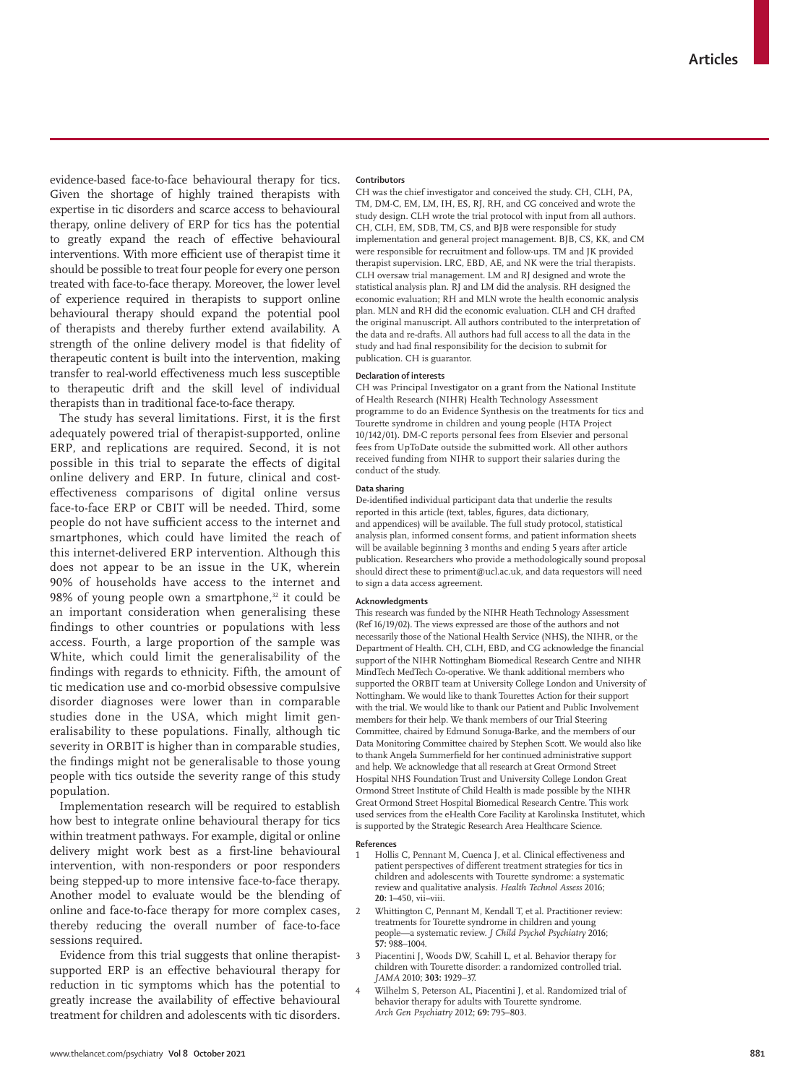evidence-based face-to-face behavioural therapy for tics. Given the shortage of highly trained therapists with expertise in tic disorders and scarce access to behavioural therapy, online delivery of ERP for tics has the potential to greatly expand the reach of effective behavioural interventions. With more efficient use of therapist time it should be possible to treat four people for every one person treated with face-to-face therapy. Moreover, the lower level of experience required in therapists to support online behavioural therapy should expand the potential pool of therapists and thereby further extend availability. A strength of the online delivery model is that fidelity of therapeutic content is built into the intervention, making transfer to real-world effectiveness much less susceptible to therapeutic drift and the skill level of individual therapists than in traditional face-to-face therapy.

The study has several limitations. First, it is the first adequately powered trial of therapist-supported, online ERP, and replications are required. Second, it is not possible in this trial to separate the effects of digital online delivery and ERP. In future, clinical and costeffectiveness comparisons of digital online versus face-to-face ERP or CBIT will be needed. Third, some people do not have sufficient access to the internet and smartphones, which could have limited the reach of this internet-delivered ERP intervention. Although this does not appear to be an issue in the UK, wherein 90% of households have access to the internet and 98% of young people own a smartphone,<sup>32</sup> it could be an important consideration when generalising these findings to other countries or populations with less access. Fourth, a large proportion of the sample was White, which could limit the generalisability of the findings with regards to ethnicity. Fifth, the amount of tic medication use and co-morbid obsessive compulsive disorder diagnoses were lower than in comparable studies done in the USA, which might limit generalisability to these populations. Finally, although tic severity in ORBIT is higher than in comparable studies, the findings might not be generalisable to those young people with tics outside the severity range of this study population.

Implementation research will be required to establish how best to integrate online behavioural therapy for tics within treatment pathways. For example, digital or online delivery might work best as a first-line behavioural intervention, with non-responders or poor responders being stepped-up to more intensive face-to-face therapy. Another model to evaluate would be the blending of online and face-to-face therapy for more complex cases, thereby reducing the overall number of face-to-face sessions required.

Evidence from this trial suggests that online therapistsupported ERP is an effective behavioural therapy for reduction in tic symptoms which has the potential to greatly increase the availability of effective behavioural treatment for children and adolescents with tic disorders.

#### **Contributors**

CH was the chief investigator and conceived the study. CH, CLH, PA, TM, DM-C, EM, LM, IH, ES, RJ, RH, and CG conceived and wrote the study design. CLH wrote the trial protocol with input from all authors. CH, CLH, EM, SDB, TM, CS, and BJB were responsible for study implementation and general project management. BJB, CS, KK, and CM were responsible for recruitment and follow-ups. TM and JK provided therapist supervision. LRC, EBD, AE, and NK were the trial therapists. CLH oversaw trial management. LM and RJ designed and wrote the statistical analysis plan. RJ and LM did the analysis. RH designed the economic evaluation; RH and MLN wrote the health economic analysis plan. MLN and RH did the economic evaluation. CLH and CH drafted the original manuscript. All authors contributed to the interpretation of the data and re-drafts. All authors had full access to all the data in the study and had final responsibility for the decision to submit for publication. CH is guarantor.

#### **Declaration of interests**

CH was Principal Investigator on a grant from the National Institute of Health Research (NIHR) Health Technology Assessment programme to do an Evidence Synthesis on the treatments for tics and Tourette syndrome in children and young people (HTA Project 10/142/01). DM-C reports personal fees from Elsevier and personal fees from UpToDate outside the submitted work. All other authors received funding from NIHR to support their salaries during the conduct of the study.

#### **Data sharing**

De-identified individual participant data that underlie the results reported in this article (text, tables, figures, data dictionary, and appendices) will be available. The full study protocol, statistical analysis plan, informed consent forms, and patient information sheets will be available beginning 3 months and ending 5 years after article publication. Researchers who provide a methodologically sound proposal should direct these to priment@ucl.ac.uk, and data requestors will need to sign a data access agreement.

#### **Acknowledgments**

This research was funded by the NIHR Heath Technology Assessment (Ref 16/19/02). The views expressed are those of the authors and not necessarily those of the National Health Service (NHS), the NIHR, or the Department of Health. CH, CLH, EBD, and CG acknowledge the financial support of the NIHR Nottingham Biomedical Research Centre and NIHR MindTech MedTech Co-operative. We thank additional members who supported the ORBIT team at University College London and University of Nottingham. We would like to thank Tourettes Action for their support with the trial. We would like to thank our Patient and Public Involvement members for their help. We thank members of our Trial Steering Committee, chaired by Edmund Sonuga-Barke, and the members of our Data Monitoring Committee chaired by Stephen Scott. We would also like to thank Angela Summerfield for her continued administrative support and help. We acknowledge that all research at Great Ormond Street Hospital NHS Foundation Trust and University College London Great Ormond Street Institute of Child Health is made possible by the NIHR Great Ormond Street Hospital Biomedical Research Centre. This work used services from the eHealth Core Facility at Karolinska Institutet, which is supported by the Strategic Research Area Healthcare Science.

#### **References**

- 1 Hollis C, Pennant M, Cuenca J, et al. Clinical effectiveness and patient perspectives of different treatment strategies for tics in children and adolescents with Tourette syndrome: a systematic review and qualitative analysis. *Health Technol Assess* 2016; **20:** 1–450, vii–viii.
- 2 Whittington C, Pennant M, Kendall T, et al. Practitioner review: treatments for Tourette syndrome in children and young people—a systematic review. *J Child Psychol Psychiatry* 2016; **57:** 988–1004.
- 3 Piacentini J, Woods DW, Scahill L, et al. Behavior therapy for children with Tourette disorder: a randomized controlled trial. *JAMA* 2010; **303:** 1929–37.
- 4 Wilhelm S, Peterson AL, Piacentini J, et al. Randomized trial of behavior therapy for adults with Tourette syndrome. *Arch Gen Psychiatry* 2012; **69:** 795–803.